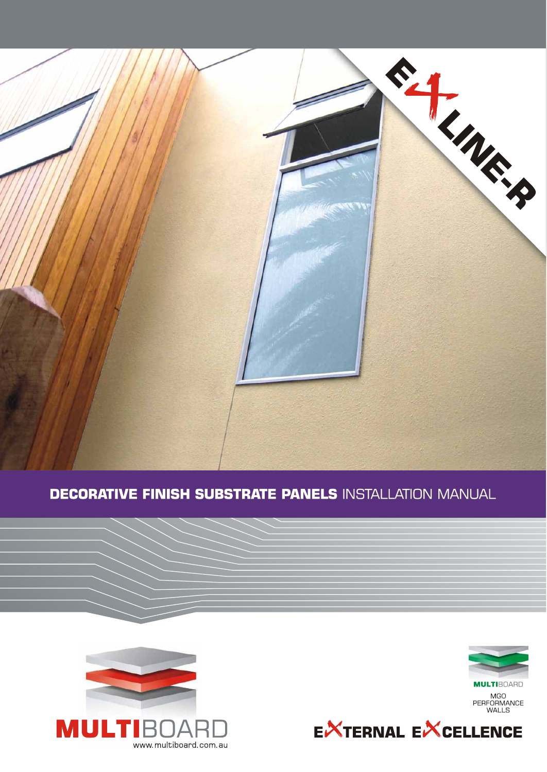

# **DECORATIVE FINISH SUBSTRATE PANELS INSTALLATION MANUAL**



**MULTIBOARD** MGO<br>PERFORMANCE<br>WALLS



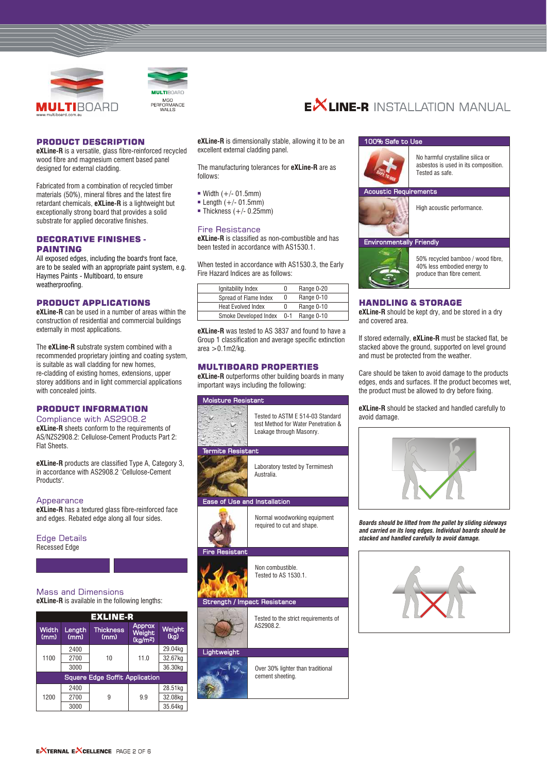



#### **PRODUCT DESCRIPTION**

**eXLine-R** is a versatile, glass fibre-reinforced recycled wood fibre and magnesium cement based panel designed for external cladding.

Fabricated from a combination of recycled timber materials (50%), mineral fibres and the latest fire retardant chemicals, **eXLine-R** is a lightweight but exceptionally strong board that provides a solid substrate for applied decorative finishes.

#### **DECORATIVE FINISHES -PAINTING**

All exposed edges, including the board's front face, are to be sealed with an appropriate paint system, e.g. Haymes Paints - Multiboard, to ensure weatherproofing.

#### **PRODUCT APPLICATIONS**

**eXLine-R** can be used in a number of areas within the construction of residential and commercial buildings externally in most applications.

The **eXLine-R** substrate system combined with a recommended proprietary jointing and coating system, is suitable as wall cladding for new homes, re-cladding of existing homes, extensions, upper storey additions and in light commercial applications with concealed joints.

# **PRODUCT INFORMATION**

#### Compliance with AS2908.2

**eXLine-R** sheets conform to the requirements of AS/NZS2908.2: Cellulose-Cement Products Part 2: Flat Sheets.

**eXLine-R** products are classified Type A, Category 3, in accordance with AS2908.2 'Cellulose-Cement Products'.

#### Appearance

**eXLine-R** has a textured glass fibre-reinforced face and edges. Rebated edge along all four sides.

#### **Edge Details** Recessed Edge



# **Mass and Dimensions**

**eXLine-R** is available in the following lengths:

| <b>EXLINE-R</b>                       |                |                          |                                                 |                |  |  |  |
|---------------------------------------|----------------|--------------------------|-------------------------------------------------|----------------|--|--|--|
| Width<br>(mm)                         | Length<br>(mm) | <b>Thickness</b><br>(mm) | <b>Approx</b><br>Weight<br>(kq/m <sup>2</sup> ) | Weight<br>(kq) |  |  |  |
| 1100                                  | 2400           | 10                       |                                                 | 29.04kg        |  |  |  |
|                                       | 2700           |                          | 11.0                                            | 32.67kg        |  |  |  |
|                                       | 3000           |                          |                                                 | 36.30kg        |  |  |  |
| <b>Square Edge Soffit Application</b> |                |                          |                                                 |                |  |  |  |
| 1200                                  | 2400           |                          |                                                 | 28.51kg        |  |  |  |
|                                       | 2700           | 9.9<br>9                 |                                                 | 32.08kg        |  |  |  |
|                                       | 3000           |                          |                                                 | 35.64kg        |  |  |  |

**eXLine-R** is dimensionally stable, allowing it to be an excellent external cladding panel.

The manufacturing tolerances for **eXLine-R** are as follows:

- $W$  Width  $(+/- 01.5$ mm)
- $\blacksquare$  Length (+/- 01.5mm)
- $\blacksquare$  Thickness (+/- 0.25mm)

# **Fire Resistance**

**eXLine-R** is classified as non-combustible and has been tested in accordance with AS1530.1.

When tested in accordance with AS1530.3, the Early Fire Hazard Indices are as follows:

| Ignitability Index        |         | Range 0-20 |
|---------------------------|---------|------------|
| Spread of Flame Index     |         | Range 0-10 |
| <b>Heat Evolved Index</b> |         | Range 0-10 |
| Smoke Developed Index     | $0 - 1$ | Range 0-10 |

**eXLine-R** was tested to AS 3837 and found to have a Group 1 classification and average specific extinction  $area > 0.1$ m2/kg.

# **MULTIBOARD PROPERTIES**

**eXLine-R** outperforms other building boards in many important ways including the following:



Over 30% lighter than traditional

cement sheeting.



**EXLINE-R** INSTALLATION MANUAL

#### 100% Safe to Use



No harmful crystalline silica or asbestos is used in its composition. Tested as safe.

#### auirements



High acoustic performance.

# **Environmentally Friendly**



50% recycled bamboo / wood fibre, 40% less embodied energy to produce than fibre cement.

# **HANDLING & STORAGE**

**eXLine-R** should be kept dry, and be stored in a dry and covered area.

If stored externally, **eXLine-R** must be stacked flat, be stacked above the ground, supported on level ground and must be protected from the weather.

Care should be taken to avoid damage to the products edges, ends and surfaces. If the product becomes wet, the product must be allowed to dry before fixing.

**eXLine-R** should be stacked and handled carefully to avoid damage.



**Boards should be lifted from the pallet by sliding sideways** *and carried on its long edges. Individual boards should be stacked and handled carefully to avoid damage.*

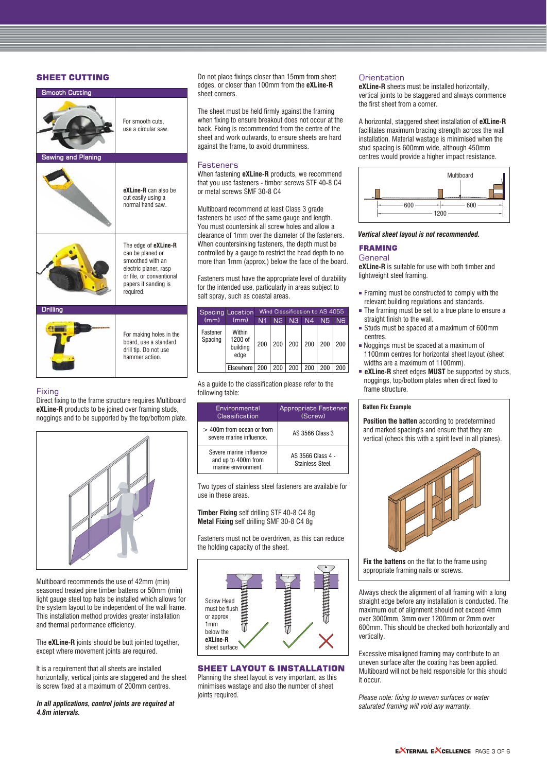# **SHEET CUTTING**

| <b>Smooth Cutting</b>     |                                                                                                                                                        |
|---------------------------|--------------------------------------------------------------------------------------------------------------------------------------------------------|
|                           | For smooth cuts,<br>use a circular saw.                                                                                                                |
| <b>Sawing and Planing</b> |                                                                                                                                                        |
|                           | eXLine-R can also be<br>cut easily using a<br>normal hand saw                                                                                          |
|                           | The edge of eXLine-R<br>can be planed or<br>smoothed with an<br>electric planer, rasp<br>or file, or conventional<br>papers if sanding is<br>required. |
| <b>Drilling</b>           |                                                                                                                                                        |
|                           | For making holes in the<br>board, use a standard<br>drill tip. Do not use<br>hammer action.                                                            |

# Fixing

Direct fixing to the frame structure requires Multiboard **eXLine-R** products to be joined over framing studs, noggings and to be supported by the top/bottom plate.



Multiboard recommends the use of 42mm (min) seasoned treated pine timber battens or 50mm (min) light gauge steel top hats be installed which allows for the system layout to be independent of the wall frame. This installation method provides greater installation and thermal performance efficiency.

The **eXLine-R** joints should be butt jointed together, except where movement joints are required.

It is a requirement that all sheets are installed horizontally, vertical joints are staggered and the sheet is screw fixed at a maximum of 200mm centres.

#### *In all applications, control joints are required at 4.8m intervals.*

Do not place fixings closer than 15mm from sheet edges, or closer than 100mm from the **eXLine-R**  sheet corners.

The sheet must be held firmly against the framing when fixing to ensure breakout does not occur at the back. Fixing is recommended from the centre of the sheet and work outwards, to ensure sheets are hard against the frame, to avoid drumminess.

# **Fasteners**

When fastening **eXLine-R** products, we recommend that you use fasteners - timber screws STF 40-8 C4 or metal screws SMF 30-8 C4

Multiboard recommend at least Class 3 grade fasteners be used of the same gauge and length. You must countersink all screw holes and allow a clearance of 1mm over the diameter of the fasteners. When countersinking fasteners, the depth must be controlled by a gauge to restrict the head depth to no more than 1mm (approx.) below the face of the board.

Fasteners must have the appropriate level of durability for the intended use, particularly in areas subject to salt spray, such as coastal areas.

|                     | Spacing Location                      | Wind Classification to AS 4055 |                |                |     |     |     |
|---------------------|---------------------------------------|--------------------------------|----------------|----------------|-----|-----|-----|
| (mm)                | (mm)                                  | N1                             | N <sub>2</sub> | N <sub>3</sub> | N4  | N5  | N6  |
| Fastener<br>Spacing | Within<br>1200 of<br>building<br>edge | 200                            | 200            | 200            | 200 | 200 | 200 |
|                     | <b>Elsewhere</b>                      | 200                            | 200            | 200            | 200 | 200 | 200 |

As a guide to the classification please refer to the following table:

| Environmental<br>Classification                                       | Appropriate Fastener<br>(Screw)       |
|-----------------------------------------------------------------------|---------------------------------------|
| > 400m from ocean or from<br>severe marine influence.                 | AS 3566 Class 3                       |
| Severe marine influence<br>and up to 400m from<br>marine environment. | AS 3566 Class 4 -<br>Stainless Steel. |

Two types of stainless steel fasteners are available for use in these areas.

**Timber Fixing** self drilling STF 40-8 C4 8g **Metal Fixing** self drilling SMF 30-8 C4 8g

Fasteners must not be overdriven, as this can reduce the holding capacity of the sheet.



# **SHEET LAYOUT & INSTALLATION**

Planning the sheet layout is very important, as this minimises wastage and also the number of sheet joints required.

# Orientation

**eXLine-R** sheets must be installed horizontally, vertical joints to be staggered and always commence the first sheet from a corner.

A horizontal, staggered sheet installation of **eXLine-R**  facilitates maximum bracing strength across the wall installation. Material wastage is minimised when the stud spacing is 600mm wide, although 450mm centres would provide a higher impact resistance.



#### *Vertical sheet layout is not recommended.*

# **FRAMING**

#### General

**eXLine-R** is suitable for use with both timber and lightweight steel framing.

- Framing must be constructed to comply with the relevant building regulations and standards.
- The framing must be set to a true plane to ensure a straight finish to the wall.
- Studs must be spaced at a maximum of 600mm centres.
- Noggings must be spaced at a maximum of 1100mm centres for horizontal sheet layout (sheet widths are a maximum of 1100mm).
- **eXLine-R** sheet edges **MUST** be supported by studs, noggings, top/bottom plates when direct fixed to frame structure.

#### **Batten Fix Example**

**Position the batten** according to predetermined and marked spacing's and ensure that they are vertical (check this with a spirit level in all planes).



**Fix the battens** on the flat to the frame using appropriate framing nails or screws.

Always check the alignment of all framing with a long straight edge before any installation is conducted. The maximum out of alignment should not exceed 4mm over 3000mm, 3mm over 1200mm or 2mm over 600mm. This should be checked both horizontally and vertically.

Excessive misaligned framing may contribute to an uneven surface after the coating has been applied. Multiboard will not be held responsible for this should it occur.

*Please note: fixing to uneven surfaces or water saturated framing will void any warranty.*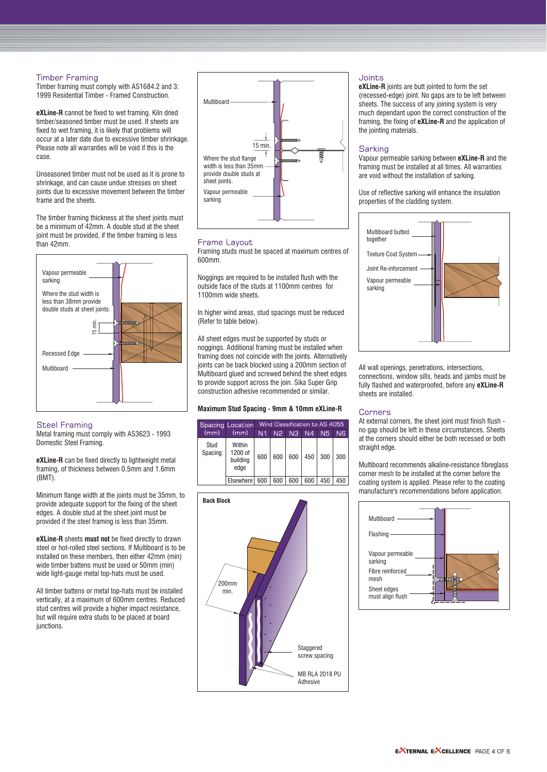#### **Timber Framing**

Timber framing must comply with AS1684.2 and 3: 1999 Residential Timber - Framed Construction.

**eXLine-R** cannot be fixed to wet framing. Kiln dried timber/seasoned timber must be used. If sheets are fixed to wet framing, it is likely that problems will occur at a later date due to excessive timber shrinkage. Please note all warranties will be void if this is the case.

Unseasoned timber must not be used as it is prone to shrinkage, and can cause undue stresses on sheet joints due to excessive movement between the timber frame and the sheets.

The timber framing thickness at the sheet joints must be a minimum of 42mm. A double stud at the sheet joint must be provided, if the timber framing is less than 42mm.



#### **Steel Framing**

Metal framing must comply with AS3623 - 1993 Domestic Steel Framing.

**eXLine-R** can be fixed directly to lightweight metal framing, of thickness between 0.5mm and 1.6mm (BMT).

Minimum flange width at the joints must be 35mm, to provide adequate support for the fixing of the sheet edges. A double stud at the sheet joint must be provided if the steel framing is less than 35mm.

**eXLine-R** sheets **must not** be fixed directly to drawn steel or hot-rolled steel sections. If Multiboard is to be installed on these members, then either 42mm (min) wide timber battens must be used or 50mm (min) wide light-gauge metal top-hats must be used.

All timber battens or metal top-hats must be installed vertically, at a maximum of 600mm centres. Reduced stud centres will provide a higher impact resistance, but will require extra studs to be placed at board junctions.



#### Frame Lavout

Framing studs must be spaced at maximum centres of 600mm.

Noggings are required to be installed flush with the outside face of the studs at 1100mm centres for 1100mm wide sheets.

In higher wind areas, stud spacings must be reduced (Refer to table below).

All sheet edges must be supported by studs or noggings. Additional framing must be installed when framing does not coincide with the joints. Alternatively joints can be back blocked using a 200mm section of Multiboard glued and screwed behind the sheet edges to provide support across the join. Sika Super Grip construction adhesive recommended or similar.

#### **Maximum Stud Spacing - 9mm & 10mm eXLine-R**

|                 | Spacing Location                      | Wind Classification to AS 4055 |                |                |                |     |     |
|-----------------|---------------------------------------|--------------------------------|----------------|----------------|----------------|-----|-----|
| (mm)            | (mm)                                  | N1                             | N <sub>2</sub> | N <sub>3</sub> | N <sub>4</sub> | N5  | N6  |
| Stud<br>Spacing | Within<br>1200 of<br>building<br>edge | 600                            | 600            | 600            | 450            | 300 | 300 |
|                 | Elsewhere                             | 600                            | 600            | 600            | 600            | 450 | 450 |



#### Joints

**eXLine-R** joints are butt jointed to form the set (recessed-edge) joint. No gaps are to be left between sheets. The success of any joining system is very much dependant upon the correct construction of the framing, the fixing of **eXLine-R** and the application of the jointing materials.

#### Sarking

Vapour permeable sarking between **eXLine-R** and the framing must be installed at all times. All warranties are void without the installation of sarking.

Use of reflective sarking will enhance the insulation properties of the cladding system.



All wall openings, penetrations, intersections, connections, window sills, heads and jambs must be fully flashed and waterproofed, before any **eXLine-R** sheets are installed.

#### Corners

At external corners, the sheet joint must finish flush no gap should be left in these circumstances. Sheets at the corners should either be both recessed or both straight edge.

Multiboard recommends alkaline-resistance fibreglass corner mesh to be installed at the corner before the coating system is applied. Please refer to the coating manufacture's recommendations before application.

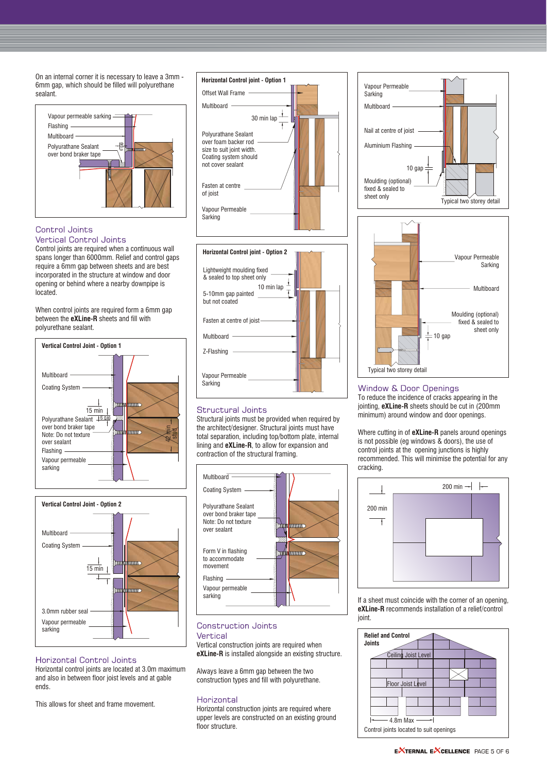On an internal corner it is necessary to leave a 3mm - 6mm gap, which should be filled will polyurethane sealant.



# Control Joints

**Vertical Control Joints** 

Control joints are required when a continuous wall spans longer than 6000mm. Relief and control gaps require a 6mm gap between sheets and are best incorporated in the structure at window and door opening or behind where a nearby downpipe is located.

When control joints are required form a 6mm gap between the **eXLine-R** sheets and fill with polyurethane sealant.





# **Horizontal Control Joints**

Horizontal control joints are located at 3.0m maximum and also in between floor joist levels and at gable ends.

This allows for sheet and frame movement.





### Structural Joints

Structural joints must be provided when required by the architect/designer. Structural joints must have total separation, including top/bottom plate, internal lining and **eXLine-R**, to allow for expansion and contraction of the structural framing.



# **Construction Joints** Vertical

Vertical construction joints are required when **eXLine-R** is installed alongside an existing structure.

Always leave a 6mm gap between the two construction types and fill with polyurethane.

#### Horizontal

Horizontal construction joints are required where upper levels are constructed on an existing ground floor structure.





#### **Window & Door Openings**

To reduce the incidence of cracks appearing in the jointing, **eXLine-R** sheets should be cut in (200mm minimum) around window and door openings.

Where cutting in of **eXLine-R** panels around openings is not possible (eg windows & doors), the use of control joints at the opening junctions is highly recommended. This will minimise the potential for any cracking.



If a sheet must coincide with the corner of an opening, **eXLine-R** recommends installation of a relief/control joint.